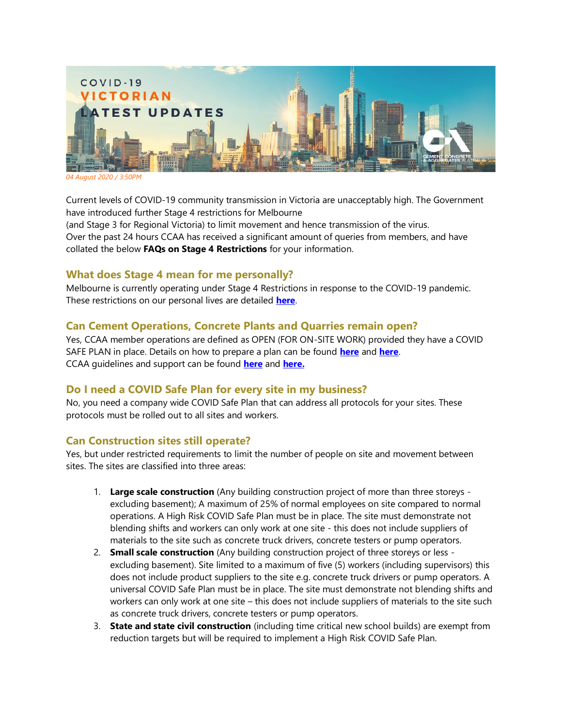

*04 August 2020 / 3:50PM*

Current levels of COVID-19 community transmission in Victoria are unacceptably high. The Government have introduced further Stage 4 restrictions for Melbourne (and Stage 3 for Regional Victoria) to limit movement and hence transmission of the virus. Over the past 24 hours CCAA has received a significant amount of queries from members, and have

collated the below **FAQs on Stage 4 Restrictions** for your information.

## **What does Stage 4 mean for me personally?**

Melbourne is currently operating under Stage 4 Restrictions in response to the COVID-19 pandemic. These restrictions on our personal lives are detailed **[here](https://www.dhhs.vic.gov.au/victorias-restriction-levels-covid-19)**.

# **Can Cement Operations, Concrete Plants and Quarries remain open?**

Yes, CCAA member operations are defined as OPEN (FOR ON-SITE WORK) provided they have a COVID SAFE PLAN in place. Details on how to prepare a plan can be found **[here](https://www.business.vic.gov.au/disputes-disasters-and-succession-planning/covid-safe-business/creating-a-covid-safe-workplace)** and **[here](https://www.worksafe.vic.gov.au/coronavirus-covid-19)**. CCAA guidelines and support can be found **[here](https://view.publitas.com/ccaa/ccaa_covid19_riskmanagementprotocols_newsletter_25032020/page/1)** and **[here.](http://www.ccaa.com.au/)** 

# **Do I need a COVID Safe Plan for every site in my business?**

No, you need a company wide COVID Safe Plan that can address all protocols for your sites. These protocols must be rolled out to all sites and workers.

## **Can Construction sites still operate?**

Yes, but under restricted requirements to limit the number of people on site and movement between sites. The sites are classified into three areas:

- 1. **Large scale construction** (Any building construction project of more than three storeys excluding basement); A maximum of 25% of normal employees on site compared to normal operations. A High Risk COVID Safe Plan must be in place. The site must demonstrate not blending shifts and workers can only work at one site - this does not include suppliers of materials to the site such as concrete truck drivers, concrete testers or pump operators.
- 2. **Small scale construction** (Any building construction project of three storeys or less excluding basement). Site limited to a maximum of five (5) workers (including supervisors) this does not include product suppliers to the site e.g. concrete truck drivers or pump operators. A universal COVID Safe Plan must be in place. The site must demonstrate not blending shifts and workers can only work at one site – this does not include suppliers of materials to the site such as concrete truck drivers, concrete testers or pump operators.
- 3. **State and state civil construction** (including time critical new school builds) are exempt from reduction targets but will be required to implement a High Risk COVID Safe Plan.